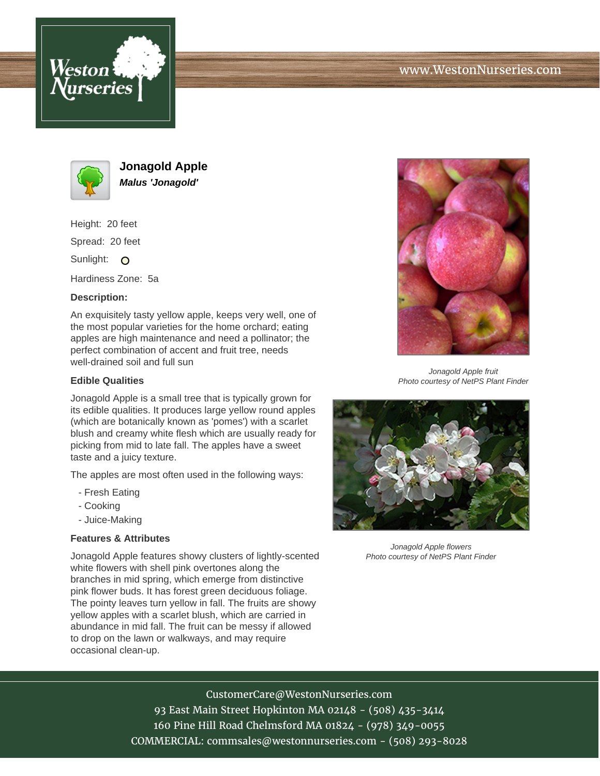





**Jonagold Apple Malus 'Jonagold'**

Height: 20 feet

Spread: 20 feet

Sunlight: O

Hardiness Zone: 5a

## **Description:**

An exquisitely tasty yellow apple, keeps very well, one of the most popular varieties for the home orchard; eating apples are high maintenance and need a pollinator; the perfect combination of accent and fruit tree, needs well-drained soil and full sun

## **Edible Qualities**

Jonagold Apple is a small tree that is typically grown for its edible qualities. It produces large yellow round apples (which are botanically known as 'pomes') with a scarlet blush and creamy white flesh which are usually ready for picking from mid to late fall. The apples have a sweet taste and a juicy texture.

The apples are most often used in the following ways:

- Fresh Eating
- Cooking
- Juice-Making

### **Features & Attributes**

Jonagold Apple features showy clusters of lightly-scented white flowers with shell pink overtones along the branches in mid spring, which emerge from distinctive pink flower buds. It has forest green deciduous foliage. The pointy leaves turn yellow in fall. The fruits are showy yellow apples with a scarlet blush, which are carried in abundance in mid fall. The fruit can be messy if allowed to drop on the lawn or walkways, and may require occasional clean-up.



Jonagold Apple fruit Photo courtesy of NetPS Plant Finder



Jonagold Apple flowers Photo courtesy of NetPS Plant Finder

# CustomerCare@WestonNurseries.com

93 East Main Street Hopkinton MA 02148 - (508) 435-3414 160 Pine Hill Road Chelmsford MA 01824 - (978) 349-0055 COMMERCIAL: commsales@westonnurseries.com - (508) 293-8028